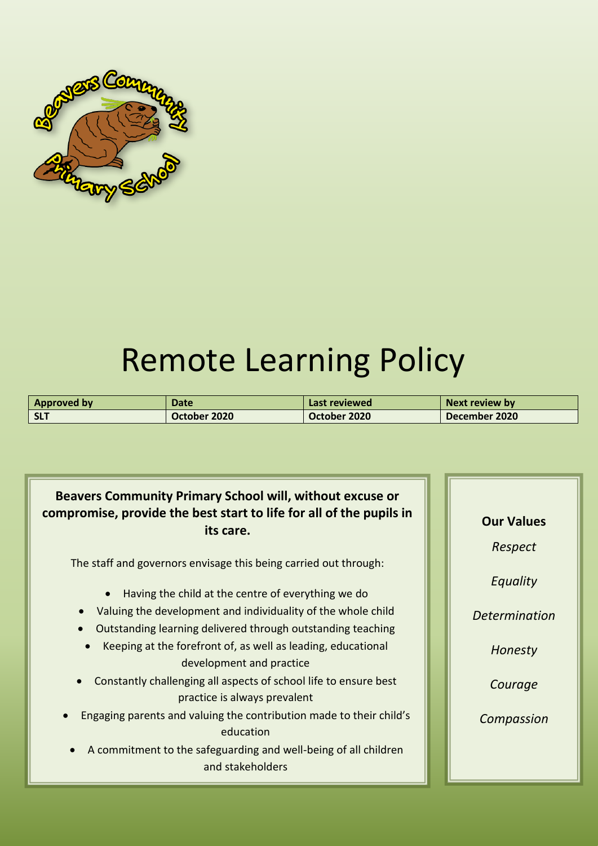

# Remote Learning Policy

| <b>Approved by</b> | Date         | Last reviewed | Next review by |
|--------------------|--------------|---------------|----------------|
| <b>SLT</b>         | October 2020 | October 2020  | December 2020  |

## **Beavers Community Primary School will, without excuse or compromise, provide the best start to life for all of the pupils in its care.**

The staff and governors envisage this being carried out through:

- Having the child at the centre of everything we do
- Valuing the development and individuality of the whole child
- Outstanding learning delivered through outstanding teaching
- Keeping at the forefront of, as well as leading, educational development and practice
- Constantly challenging all aspects of school life to ensure best practice is always prevalent
- Engaging parents and valuing the contribution made to their child's education
- A commitment to the safeguarding and well-being of all children and stakeholders

**Our Values** *Respect Equality Determination Honesty Courage Compassion*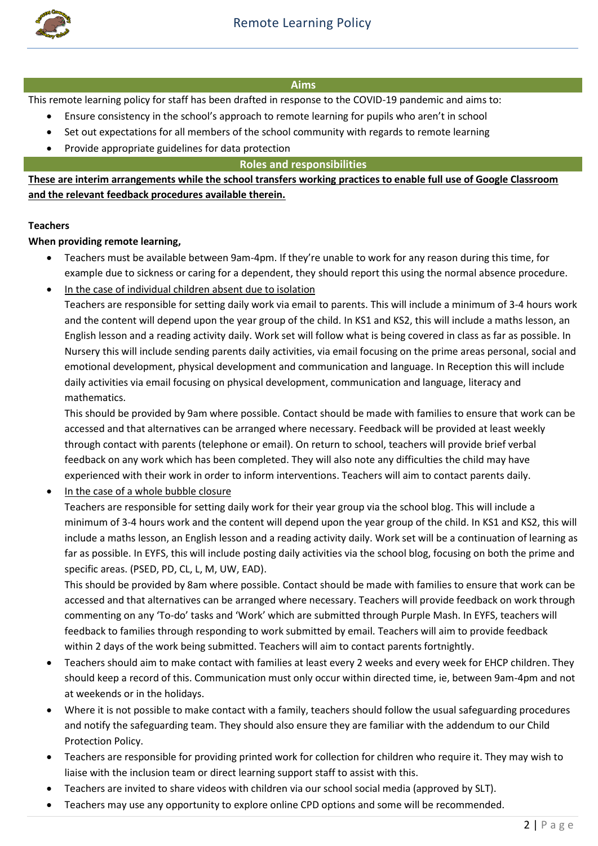

#### **Aims**

This remote learning policy for staff has been drafted in response to the COVID-19 pandemic and aims to:

- Ensure consistency in the school's approach to remote learning for pupils who aren't in school
- Set out expectations for all members of the school community with regards to remote learning
- Provide appropriate guidelines for data protection

**Roles and responsibilities**

**These are interim arrangements while the school transfers working practices to enable full use of Google Classroom and the relevant feedback procedures available therein.** 

#### **Teachers**

**When providing remote learning,** 

- Teachers must be available between 9am-4pm. If they're unable to work for any reason during this time, for example due to sickness or caring for a dependent, they should report this using the normal absence procedure.
- In the case of individual children absent due to isolation

Teachers are responsible for setting daily work via email to parents. This will include a minimum of 3-4 hours work and the content will depend upon the year group of the child. In KS1 and KS2, this will include a maths lesson, an English lesson and a reading activity daily. Work set will follow what is being covered in class as far as possible. In Nursery this will include sending parents daily activities, via email focusing on the prime areas personal, social and emotional development, physical development and communication and language. In Reception this will include daily activities via email focusing on physical development, communication and language, literacy and mathematics.

This should be provided by 9am where possible. Contact should be made with families to ensure that work can be accessed and that alternatives can be arranged where necessary. Feedback will be provided at least weekly through contact with parents (telephone or email). On return to school, teachers will provide brief verbal feedback on any work which has been completed. They will also note any difficulties the child may have experienced with their work in order to inform interventions. Teachers will aim to contact parents daily.

In the case of a whole bubble closure

Teachers are responsible for setting daily work for their year group via the school blog. This will include a minimum of 3-4 hours work and the content will depend upon the year group of the child. In KS1 and KS2, this will include a maths lesson, an English lesson and a reading activity daily. Work set will be a continuation of learning as far as possible. In EYFS, this will include posting daily activities via the school blog, focusing on both the prime and specific areas. (PSED, PD, CL, L, M, UW, EAD).

This should be provided by 8am where possible. Contact should be made with families to ensure that work can be accessed and that alternatives can be arranged where necessary. Teachers will provide feedback on work through commenting on any 'To-do' tasks and 'Work' which are submitted through Purple Mash. In EYFS, teachers will feedback to families through responding to work submitted by email. Teachers will aim to provide feedback within 2 days of the work being submitted. Teachers will aim to contact parents fortnightly.

- Teachers should aim to make contact with families at least every 2 weeks and every week for EHCP children. They should keep a record of this. Communication must only occur within directed time, ie, between 9am-4pm and not at weekends or in the holidays.
- Where it is not possible to make contact with a family, teachers should follow the usual safeguarding procedures and notify the safeguarding team. They should also ensure they are familiar with the addendum to our Child Protection Policy.
- Teachers are responsible for providing printed work for collection for children who require it. They may wish to liaise with the inclusion team or direct learning support staff to assist with this.
- Teachers are invited to share videos with children via our school social media (approved by SLT).
- Teachers may use any opportunity to explore online CPD options and some will be recommended.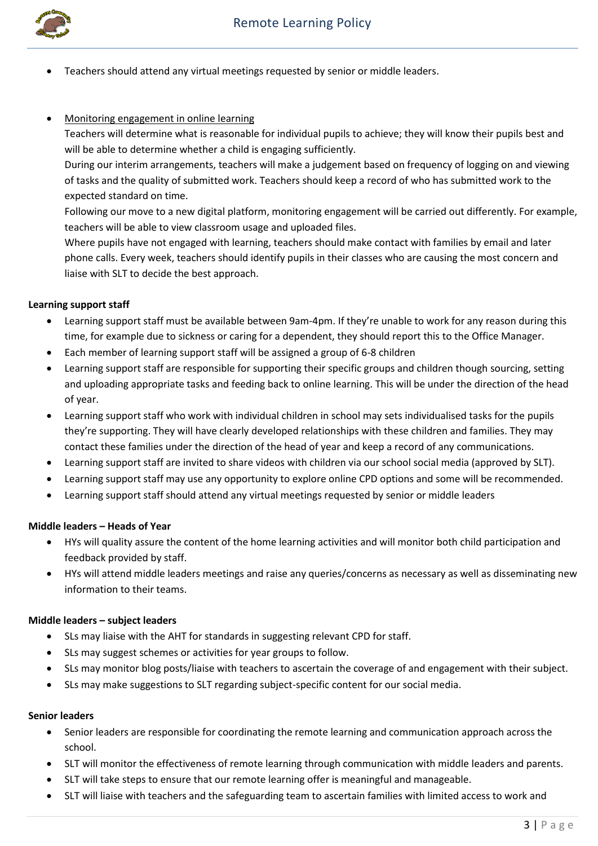

Teachers should attend any virtual meetings requested by senior or middle leaders.

#### Monitoring engagement in online learning

Teachers will determine what is reasonable for individual pupils to achieve; they will know their pupils best and will be able to determine whether a child is engaging sufficiently.

During our interim arrangements, teachers will make a judgement based on frequency of logging on and viewing of tasks and the quality of submitted work. Teachers should keep a record of who has submitted work to the expected standard on time.

Following our move to a new digital platform, monitoring engagement will be carried out differently. For example, teachers will be able to view classroom usage and uploaded files.

Where pupils have not engaged with learning, teachers should make contact with families by email and later phone calls. Every week, teachers should identify pupils in their classes who are causing the most concern and liaise with SLT to decide the best approach.

#### **Learning support staff**

- Learning support staff must be available between 9am-4pm. If they're unable to work for any reason during this time, for example due to sickness or caring for a dependent, they should report this to the Office Manager.
- Each member of learning support staff will be assigned a group of 6-8 children
- Learning support staff are responsible for supporting their specific groups and children though sourcing, setting and uploading appropriate tasks and feeding back to online learning. This will be under the direction of the head of year.
- Learning support staff who work with individual children in school may sets individualised tasks for the pupils they're supporting. They will have clearly developed relationships with these children and families. They may contact these families under the direction of the head of year and keep a record of any communications.
- Learning support staff are invited to share videos with children via our school social media (approved by SLT).
- Learning support staff may use any opportunity to explore online CPD options and some will be recommended.
- Learning support staff should attend any virtual meetings requested by senior or middle leaders

#### **Middle leaders – Heads of Year**

- HYs will quality assure the content of the home learning activities and will monitor both child participation and feedback provided by staff.
- HYs will attend middle leaders meetings and raise any queries/concerns as necessary as well as disseminating new information to their teams.

#### **Middle leaders – subject leaders**

- SLs may liaise with the AHT for standards in suggesting relevant CPD for staff.
- SLs may suggest schemes or activities for year groups to follow.
- SLs may monitor blog posts/liaise with teachers to ascertain the coverage of and engagement with their subject.
- SLs may make suggestions to SLT regarding subject-specific content for our social media.

#### **Senior leaders**

- Senior leaders are responsible for coordinating the remote learning and communication approach across the school.
- SLT will monitor the effectiveness of remote learning through communication with middle leaders and parents.
- SLT will take steps to ensure that our remote learning offer is meaningful and manageable.
- SLT will liaise with teachers and the safeguarding team to ascertain families with limited access to work and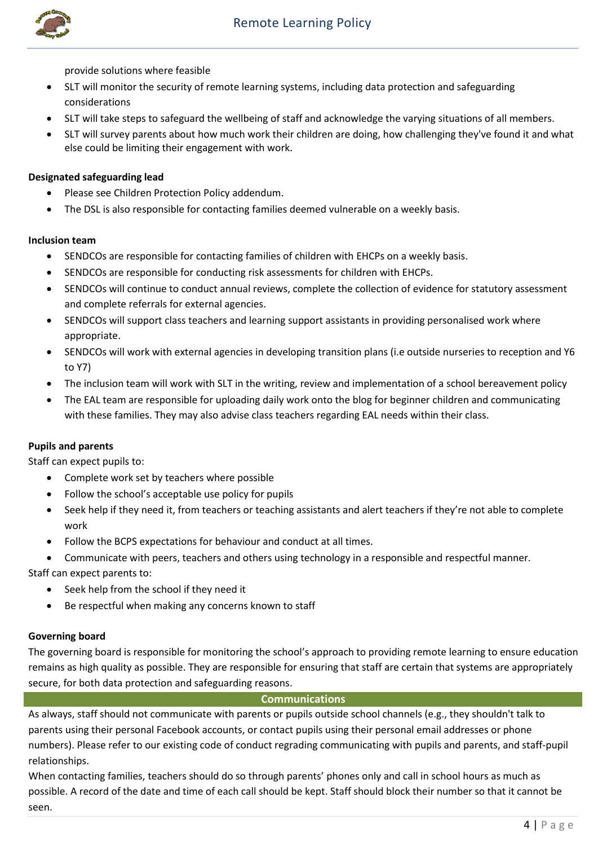

provide solutions where feasible

- SLT will monitor the security of remote learning systems, including data protection and safeguarding considerations
- SLT will take steps to safeguard the wellbeing of staff and acknowledge the varying situations of all members.
- SLT will survey parents about how much work their children are doing, how challenging they've found it and what else could be limiting their engagement with work.

#### **Designated safeguarding lead**

- Please see Children Protection Policy addendum.
- The DSL is also responsible for contacting families deemed vulnerable on a weekly basis.

#### **Inclusion team**

- SENDCOs are responsible for contacting families of children with EHCPs on a weekly basis.
- SENDCOs are responsible for conducting risk assessments for children with EHCPs.
- SENDCOs will continue to conduct annual reviews, complete the collection of evidence for statutory assessment and complete referrals for external agencies.
- SENDCOs will support class teachers and learning support assistants in providing personalised work where appropriate.
- SENDCOs will work with external agencies in developing transition plans (i.e outside nurseries to reception and Y6 to Y7)
- The inclusion team will work with SLT in the writing, review and implementation of a school bereavement policy
- The EAL team are responsible for uploading daily work onto the blog for beginner children and communicating with these families. They may also advise class teachers regarding EAL needs within their class.

#### **Pupils and parents**

Staff can expect pupils to:

- Complete work set by teachers where possible
- Follow the school's acceptable use policy for pupils
- Seek help if they need it, from teachers or teaching assistants and alert teachers if they're not able to complete work
- Follow the BCPS expectations for behaviour and conduct at all times.
- Communicate with peers, teachers and others using technology in a responsible and respectful manner.

Staff can expect parents to:

- Seek help from the school if they need it
- Be respectful when making any concerns known to staff

#### **Governing board**

The governing board is responsible for monitoring the school's approach to providing remote learning to ensure education remains as high quality as possible. They are responsible for ensuring that staff are certain that systems are appropriately secure, for both data protection and safeguarding reasons.

#### **Communications**

As always, staff should not communicate with parents or pupils outside school channels (e.g., they shouldn't talk to parents using their personal Facebook accounts, or contact pupils using their personal email addresses or phone numbers). Please refer to our existing code of conduct regrading communicating with pupils and parents, and staff-pupil relationships.

When contacting families, teachers should do so through parents' phones only and call in school hours as much as possible. A record of the date and time of each call should be kept. Staff should block their number so that it cannot be seen.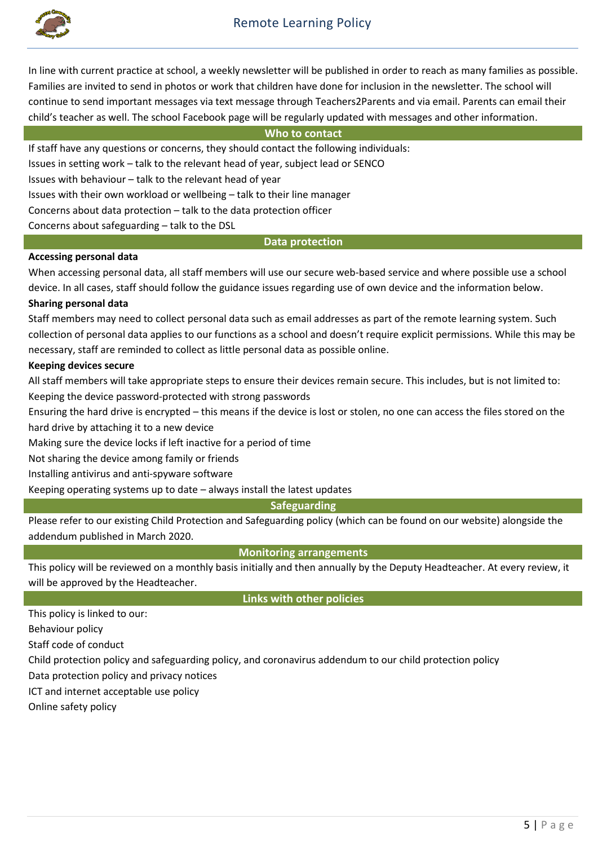

### Remote Learning Policy

In line with current practice at school, a weekly newsletter will be published in order to reach as many families as possible. Families are invited to send in photos or work that children have done for inclusion in the newsletter. The school will continue to send important messages via text message through Teachers2Parents and via email. Parents can email their child's teacher as well. The school Facebook page will be regularly updated with messages and other information.

#### **Who to contact**

If staff have any questions or concerns, they should contact the following individuals:

Issues in setting work – talk to the relevant head of year, subject lead or SENCO

Issues with behaviour – talk to the relevant head of year

Issues with their own workload or wellbeing – talk to their line manager

Concerns about data protection – talk to the data protection officer

Concerns about safeguarding – talk to the DSL

#### **Data protection**

#### **Accessing personal data**

When accessing personal data, all staff members will use our secure web-based service and where possible use a school device. In all cases, staff should follow the guidance issues regarding use of own device and the information below.

#### **Sharing personal data**

Staff members may need to collect personal data such as email addresses as part of the remote learning system. Such collection of personal data applies to our functions as a school and doesn't require explicit permissions. While this may be necessary, staff are reminded to collect as little personal data as possible online.

#### **Keeping devices secure**

All staff members will take appropriate steps to ensure their devices remain secure. This includes, but is not limited to: Keeping the device password-protected with strong passwords

Ensuring the hard drive is encrypted – this means if the device is lost or stolen, no one can access the files stored on the hard drive by attaching it to a new device

Making sure the device locks if left inactive for a period of time

Not sharing the device among family or friends

Installing antivirus and anti-spyware software

Keeping operating systems up to date – always install the latest updates

#### **Safeguarding**

Please refer to our existing Child Protection and Safeguarding policy (which can be found on our website) alongside the addendum published in March 2020.

**Monitoring arrangements**

This policy will be reviewed on a monthly basis initially and then annually by the Deputy Headteacher. At every review, it will be approved by the Headteacher.

**Links with other policies** 

This policy is linked to our:

Behaviour policy

Staff code of conduct

Child protection policy and safeguarding policy, and coronavirus addendum to our child protection policy

Data protection policy and privacy notices

ICT and internet acceptable use policy

Online safety policy